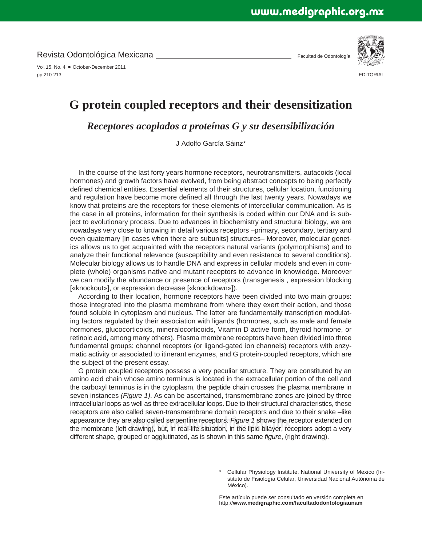Revista Odontológica Mexicana

Vol. 15, No. 4 · October-December 2011 pp 210-213

Facultad de Odontología



**EDITORIAL** 

## **G protein coupled receptors and their desensitization**

*Receptores acoplados a proteínas G y su desensibilización*

J Adolfo García Sáinz\*

In the course of the last forty years hormone receptors, neurotransmitters, autacoids (local hormones) and growth factors have evolved, from being abstract concepts to being perfectly defined chemical entities. Essential elements of their structures, cellular location, functioning and regulation have become more defined all through the last twenty years. Nowadays we know that proteins are the receptors for these elements of intercellular communication. As is the case in all proteins, information for their synthesis is coded within our DNA and is subject to evolutionary process. Due to advances in biochemistry and structural biology, we are nowadays very close to knowing in detail various receptors –primary, secondary, tertiary and even quaternary [in cases when there are subunits] structures– Moreover, molecular genetics allows us to get acquainted with the receptors natural variants (polymorphisms) and to analyze their functional relevance (susceptibility and even resistance to several conditions). Molecular biology allows us to handle DNA and express in cellular models and even in complete (whole) organisms native and mutant receptors to advance in knowledge. Moreover we can modify the abundance or presence of receptors (transgenesis , expression blocking [«knockout»], or expression decrease [«knockdown»]).

According to their location, hormone receptors have been divided into two main groups: those integrated into the plasma membrane from where they exert their action, and those found soluble in cytoplasm and nucleus. The latter are fundamentally transcription modulating factors regulated by their association with ligands (hormones, such as male and female hormones, glucocorticoids, mineralocorticoids, Vitamin D active form, thyroid hormone, or retinoic acid, among many others). Plasma membrane receptors have been divided into three fundamental groups: channel receptors (or ligand-gated ion channels) receptors with enzymatic activity or associated to itinerant enzymes, and G protein-coupled receptors, which are the subject of the present essay.

appearance they are also called serpentine receptors. *Figure 1* shows the receptor extended on<br>the membrane (left drawing), but, in real-life situation, in the lipid bilayer, receptors adopt a very G protein coupled receptors possess a very peculiar structure. They are constituted by an amino acid chain whose amino terminus is located in the extracellular portion of the cell and the carboxyl terminus is in the cytoplasm, the peptide chain crosses the plasma membrane in seven instances *(Figure 1)*. As can be ascertained, transmembrane zones are joined by three intracellular loops as well as three extracellular loops. Due to their structural characteristics, these receptors are also called seven-transmembrane domain receptors and due to their snake –like the membrane (left drawing), but, in real-life situation, in the lipid bilayer, receptors adopt a very different shape, grouped or agglutinated, as is shown in this same *fi gure*, (right drawing).

Este artículo puede ser consultado en versión completa en http://**www.medigraphic.com/facultadodontologiaunam**

Cellular Physiology Institute, National University of Mexico (Instituto de Fisiología Celular, Universidad Nacional Autónoma de México).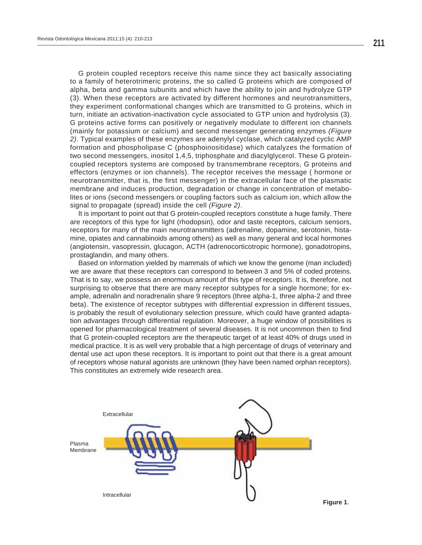G protein coupled receptors receive this name since they act basically associating to a family of heterotrimeric proteins, the so called G proteins which are composed of alpha, beta and gamma subunits and which have the ability to join and hydrolyze GTP (3). When these receptors are activated by different hormones and neurotransmitters, they experiment conformational changes which are transmitted to G proteins, which in turn, initiate an activation-inactivation cycle associated to GTP union and hydrolysis (3). G proteins active forms can positively or negatively modulate to different ion channels (mainly for potassium or calcium) and second messenger generating enzymes *(Figure 2)*. Typical examples of these enzymes are adenylyl cyclase, which catalyzed cyclic AMP formation and phospholipase C (phosphoinositidase) which catalyzes the formation of two second messengers, inositol 1,4,5, triphosphate and diacylglycerol. These G proteincoupled receptors systems are composed by transmembrane receptors, G proteins and effectors (enzymes or ion channels). The receptor receives the message ( hormone or neurotransmitter, that is, the first messenger) in the extracellular face of the plasmatic membrane and induces production, degradation or change in concentration of metabolites or ions (second messengers or coupling factors such as calcium ion, which allow the signal to propagate (spread) inside the cell *(Figure 2)*.

It is important to point out that G protein-coupled receptors constitute a huge family. There are receptors of this type for light (rhodopsin), odor and taste receptors, calcium sensors, receptors for many of the main neurotransmitters (adrenaline, dopamine, serotonin, histamine, opiates and cannabinoids among others) as well as many general and local hormones (angiotensin, vasopressin, glucagon, ACTH (adrenocorticotropic hormone), gonadotropins, prostaglandin, and many others.

Based on information yielded by mammals of which we know the genome (man included) we are aware that these receptors can correspond to between 3 and 5% of coded proteins. That is to say, we possess an enormous amount of this type of receptors. It is, therefore, not surprising to observe that there are many receptor subtypes for a single hormone; for example, adrenalin and noradrenalin share 9 receptors (three alpha-1, three alpha-2 and three beta). The existence of receptor subtypes with differential expression in different tissues, is probably the result of evolutionary selection pressure, which could have granted adaptation advantages through differential regulation. Moreover, a huge window of possibilities is opened for pharmacological treatment of several diseases. It is not uncommon then to find that G protein-coupled receptors are the therapeutic target of at least 40% of drugs used in medical practice. It is as well very probable that a high percentage of drugs of veterinary and dental use act upon these receptors. It is important to point out that there is a great amount of receptors whose natural agonists are unknown (they have been named orphan receptors). This constitutes an extremely wide research area.

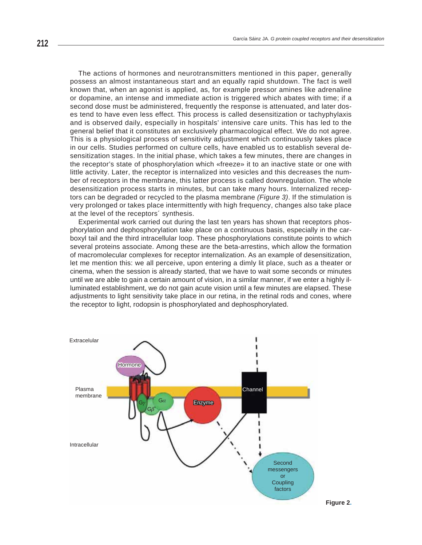little activity. Later, the receptor is internalized into vesicles and this decreases the num-The actions of hormones and neurotransmitters mentioned in this paper, generally possess an almost instantaneous start and an equally rapid shutdown. The fact is well known that, when an agonist is applied, as, for example pressor amines like adrenaline or dopamine, an intense and immediate action is triggered which abates with time; if a second dose must be administered, frequently the response is attenuated, and later doses tend to have even less effect. This process is called desensitization or tachyphylaxis and is observed daily, especially in hospitals' intensive care units. This has led to the general belief that it constitutes an exclusively pharmacological effect. We do not agree. This is a physiological process of sensitivity adjustment which continuously takes place in our cells. Studies performed on culture cells, have enabled us to establish several desensitization stages. In the initial phase, which takes a few minutes, there are changes in the receptor's state of phosphorylation which «freeze» it to an inactive state or one with ber of receptors in the membrane, this latter process is called downregulation. The whole desensitization process starts in minutes, but can take many hours. Internalized receptors can be degraded or recycled to the plasma membrane *(Figure 3)*. If the stimulation is very prolonged or takes place intermittently with high frequency, changes also take place at the level of the receptors´ synthesis.

Experimental work carried out during the last ten years has shown that receptors phosphorylation and dephosphorylation take place on a continuous basis, especially in the carboxyl tail and the third intracellular loop. These phosphorylations constitute points to which several proteins associate. Among these are the beta-arrestins, which allow the formation of macromolecular complexes for receptor internalization. As an example of desensitization, let me mention this: we all perceive, upon entering a dimly lit place, such as a theater or cinema, when the session is already started, that we have to wait some seconds or minutes until we are able to gain a certain amount of vision, in a similar manner, if we enter a highly illuminated establishment, we do not gain acute vision until a few minutes are elapsed. These adjustments to light sensitivity take place in our retina, in the retinal rods and cones, where the receptor to light, rodopsin is phosphorylated and dephosphorylated.